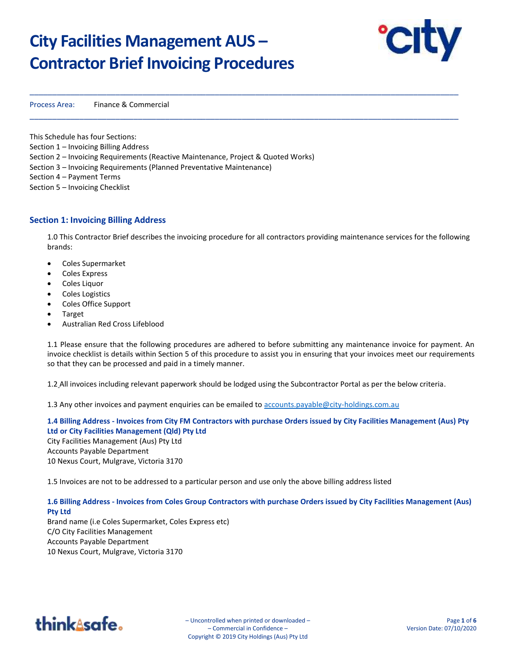# **City Facilities Management AUS – Contractor Brief Invoicing Procedures**



Process Area: Finance & Commercial

This Schedule has four Sections: Section 1 – Invoicing Billing Address Section 2 – Invoicing Requirements (Reactive Maintenance, Project & Quoted Works) Section 3 – Invoicing Requirements (Planned Preventative Maintenance) Section 4 – Payment Terms Section 5 – Invoicing Checklist

## **Section 1: Invoicing Billing Address**

1.0 This Contractor Brief describes the invoicing procedure for all contractors providing maintenance services for the following brands:

\_\_\_\_\_\_\_\_\_\_\_\_\_\_\_\_\_\_\_\_\_\_\_\_\_\_\_\_\_\_\_\_\_\_\_\_\_\_\_\_\_\_\_\_\_\_\_\_\_\_\_\_\_\_\_\_\_\_\_\_\_\_\_\_\_\_\_\_\_\_\_\_\_\_\_\_\_\_\_\_\_\_\_\_\_\_\_\_\_\_\_\_\_\_\_

\_\_\_\_\_\_\_\_\_\_\_\_\_\_\_\_\_\_\_\_\_\_\_\_\_\_\_\_\_\_\_\_\_\_\_\_\_\_\_\_\_\_\_\_\_\_\_\_\_\_\_\_\_\_\_\_\_\_\_\_\_\_\_\_\_\_\_\_\_\_\_\_\_\_\_\_\_\_\_\_\_\_\_\_\_\_\_\_\_\_\_\_\_\_\_

- Coles Supermarket
- Coles Express
- Coles Liquor
- Coles Logistics
- Coles Office Support
- Target
- Australian Red Cross Lifeblood

1.1 Please ensure that the following procedures are adhered to before submitting any maintenance invoice for payment. An invoice checklist is details within Section 5 of this procedure to assist you in ensuring that your invoices meet our requirements so that they can be processed and paid in a timely manner.

1.2 All invoices including relevant paperwork should be lodged using the Subcontractor Portal as per the below criteria.

1.3 Any other invoices and payment enquiries can be emailed to [accounts.payable@city-holdings.com.au](mailto:accounts.payable@city-holdings.com.au)

**1.4 Billing Address - Invoices from City FM Contractors with purchase Orders issued by City Facilities Management (Aus) Pty Ltd or City Facilities Management (Qld) Pty Ltd** City Facilities Management (Aus) Pty Ltd Accounts Payable Department 10 Nexus Court, Mulgrave, Victoria 3170

1.5 Invoices are not to be addressed to a particular person and use only the above billing address listed

**1.6 Billing Address - Invoices from Coles Group Contractors with purchase Orders issued by City Facilities Management (Aus) Pty Ltd** 

Brand name (i.e Coles Supermarket, Coles Express etc) C/O City Facilities Management Accounts Payable Department 10 Nexus Court, Mulgrave, Victoria 3170



– Uncontrolled when printed or downloaded – – Commercial in Confidence – Copyright © 2019 City Holdings (Aus) Pty Ltd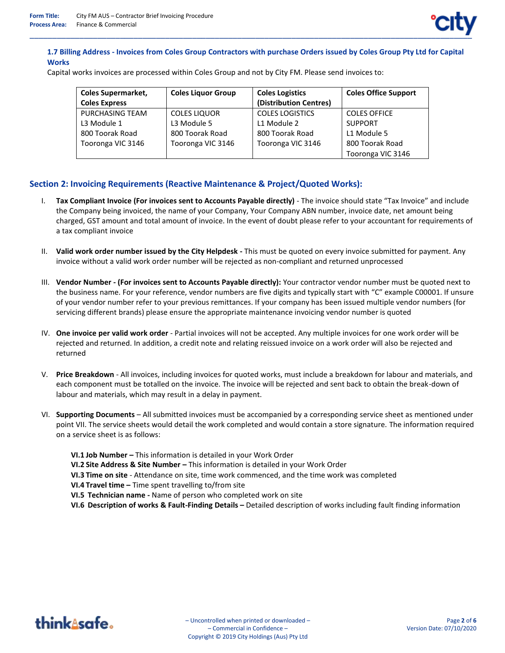# **1.7 Billing Address - Invoices from Coles Group Contractors with purchase Orders issued by Coles Group Pty Ltd for Capital Works**

Capital works invoices are processed within Coles Group and not by City FM. Please send invoices to:

| <b>Coles Supermarket,</b><br><b>Coles Liquor Group</b> |                     | <b>Coles Logistics</b> | <b>Coles Office Support</b> |  |  |
|--------------------------------------------------------|---------------------|------------------------|-----------------------------|--|--|
| <b>Coles Express</b>                                   |                     | (Distribution Centres) |                             |  |  |
| PURCHASING TEAM                                        | <b>COLES LIQUOR</b> | <b>COLES LOGISTICS</b> | <b>COLES OFFICE</b>         |  |  |
| L3 Module 1                                            | L3 Module 5         | L1 Module 2            | <b>SUPPORT</b>              |  |  |
| 800 Toorak Road                                        | 800 Toorak Road     | 800 Toorak Road        | L1 Module 5                 |  |  |
| Tooronga VIC 3146                                      | Tooronga VIC 3146   | Tooronga VIC 3146      | 800 Toorak Road             |  |  |
|                                                        |                     |                        | Tooronga VIC 3146           |  |  |

# **Section 2: Invoicing Requirements (Reactive Maintenance & Project/Quoted Works):**

- I. **Tax Compliant Invoice (For invoices sent to Accounts Payable directly)**  The invoice should state "Tax Invoice" and include the Company being invoiced, the name of your Company, Your Company ABN number, invoice date, net amount being charged, GST amount and total amount of invoice. In the event of doubt please refer to your accountant for requirements of a tax compliant invoice
- II. **Valid work order number issued by the City Helpdesk -** This must be quoted on every invoice submitted for payment. Any invoice without a valid work order number will be rejected as non-compliant and returned unprocessed
- III. **Vendor Number - (For invoices sent to Accounts Payable directly):** Your contractor vendor number must be quoted next to the business name. For your reference, vendor numbers are five digits and typically start with "C" example C00001. If unsure of your vendor number refer to your previous remittances. If your company has been issued multiple vendor numbers (for servicing different brands) please ensure the appropriate maintenance invoicing vendor number is quoted
- IV. **One invoice per valid work order** Partial invoices will not be accepted. Any multiple invoices for one work order will be rejected and returned. In addition, a credit note and relating reissued invoice on a work order will also be rejected and returned
- V. **Price Breakdown** All invoices, including invoices for quoted works, must include a breakdown for labour and materials, and each component must be totalled on the invoice. The invoice will be rejected and sent back to obtain the break-down of labour and materials, which may result in a delay in payment.
- VI. **Supporting Documents** All submitted invoices must be accompanied by a corresponding service sheet as mentioned under point VII. The service sheets would detail the work completed and would contain a store signature. The information required on a service sheet is as follows:
	- **VI.1 Job Number –** This information is detailed in your Work Order
	- **VI.2 Site Address & Site Number –** This information is detailed in your Work Order
	- **VI.3 Time on site** Attendance on site, time work commenced, and the time work was completed
	- **VI.4 Travel time –** Time spent travelling to/from site
	- **VI.5 Technician name -** Name of person who completed work on site
	- **VI.6 Description of works & Fault-Finding Details –** Detailed description of works including fault finding information

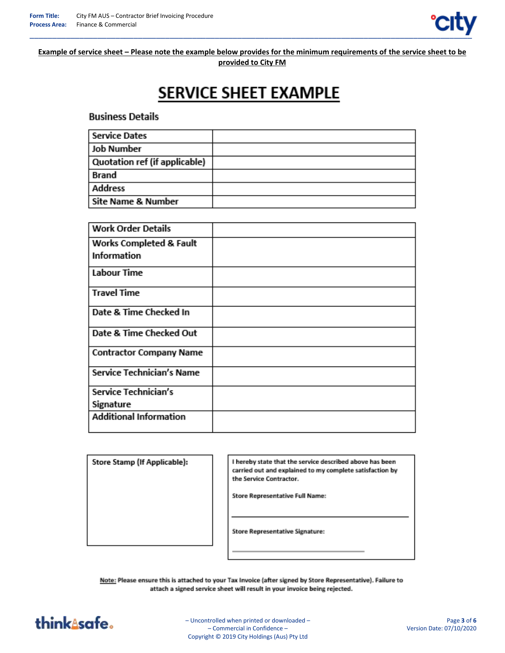

**Example of service sheet – Please note the example below provides for the minimum requirements of the service sheet to be provided to City FM**

# SERVICE SHEET EXAMPLE

**Business Details** 

| <b>Service Dates</b>          |  |
|-------------------------------|--|
| <b>Job Number</b>             |  |
| Quotation ref (if applicable) |  |
| <b>Brand</b>                  |  |
| <b>Address</b>                |  |
| Site Name & Number            |  |

| <b>Work Order Details</b>      |  |
|--------------------------------|--|
| Works Completed & Fault        |  |
| <b>Information</b>             |  |
| <b>Labour Time</b>             |  |
| <b>Travel Time</b>             |  |
| Date & Time Checked In         |  |
| Date & Time Checked Out        |  |
| <b>Contractor Company Name</b> |  |
| Service Technician's Name      |  |
| Service Technician's           |  |
| Signature                      |  |
| <b>Additional Information</b>  |  |

Store Stamp (If Applicable):

I hereby state that the service described above has been carried out and explained to my complete satisfaction by the Service Contractor.

**Store Representative Full Name:** 

**Store Representative Signature:** 

Note: Please ensure this is attached to your Tax Invoice (after signed by Store Representative). Failure to attach a signed service sheet will result in your invoice being rejected.



– Uncontrolled when printed or downloaded – – Commercial in Confidence – Copyright © 2019 City Holdings (Aus) Pty Ltd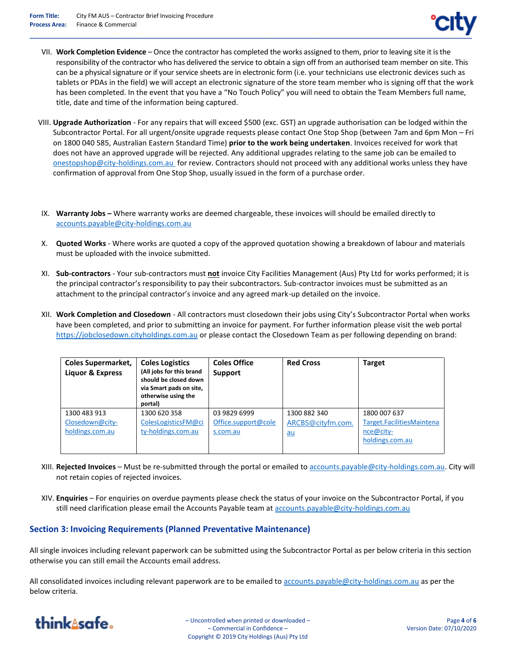- VII. **Work Completion Evidence** Once the contractor has completed the works assigned to them, prior to leaving site it is the responsibility of the contractor who has delivered the service to obtain a sign off from an authorised team member on site. This can be a physical signature or if your service sheets are in electronic form (i.e. your technicians use electronic devices such as tablets or PDAs in the field) we will accept an electronic signature of the store team member who is signing off that the work has been completed. In the event that you have a "No Touch Policy" you will need to obtain the Team Members full name, title, date and time of the information being captured.
- VIII. **Upgrade Authorization** For any repairs that will exceed \$500 (exc. GST) an upgrade authorisation can be lodged within the Subcontractor Portal. For all urgent/onsite upgrade requests please contact One Stop Shop (between 7am and 6pm Mon – Fri on 1800 040 585, Australian Eastern Standard Time) **prior to the work being undertaken**. Invoices received for work that does not have an approved upgrade will be rejected. Any additional upgrades relating to the same job can be emailed to [onestopshop@city-holdings.com.au](mailto:onestopshop@city-holdings.com.au) for review. Contractors should not proceed with any additional works unless they have confirmation of approval from One Stop Shop, usually issued in the form of a purchase order.
- IX. **Warranty Jobs –** Where warranty works are deemed chargeable, these invoices will should be emailed directly to [accounts.payable@city-holdings.com.au](mailto:accounts.payable@city-holdings.com.au)
- X. **Quoted Works** Where works are quoted a copy of the approved quotation showing a breakdown of labour and materials must be uploaded with the invoice submitted.
- XI. **Sub-contractors** Your sub-contractors must **not** invoice City Facilities Management (Aus) Pty Ltd for works performed; it is the principal contractor's responsibility to pay their subcontractors. Sub-contractor invoices must be submitted as an attachment to the principal contractor's invoice and any agreed mark-up detailed on the invoice.
- XII. **Work Completion and Closedown** All contractors must closedown their jobs using City's Subcontractor Portal when works have been completed, and prior to submitting an invoice for payment. For further information please visit the web portal [https://jobclosedown.cityholdings.com.au](https://jobclosedown.cityholdings.com.au/) or please contact the Closedown Team as per following depending on brand:

| <b>Coles Supermarket,</b><br>Liquor & Express | <b>Coles Logistics</b><br>(All jobs for this brand<br>should be closed down<br>via Smart pads on site,<br>otherwise using the<br>portal) | <b>Coles Office</b><br>Support | <b>Red Cross</b>  | <b>Target</b>             |  |
|-----------------------------------------------|------------------------------------------------------------------------------------------------------------------------------------------|--------------------------------|-------------------|---------------------------|--|
| 1300 483 913                                  | 1300 620 358                                                                                                                             | 03 9829 6999                   | 1300 882 340      | 1800 007 637              |  |
| Closedown@city-                               | ColesLogisticsFM@ci                                                                                                                      | Office.support@cole            | ARCBS@cityfm.com. | Target.FacilitiesMaintena |  |
| holdings.com.au                               | ty-holdings.com.au                                                                                                                       | s.com.au                       | $au$              | nce@city-                 |  |
|                                               |                                                                                                                                          |                                |                   | holdings.com.au           |  |
|                                               |                                                                                                                                          |                                |                   |                           |  |

- XIII. **Rejected Invoices** Must be re-submitted through the portal or emailed t[o accounts.payable@city-holdings.com.au.](mailto:accounts.payable@city-holdings.com.au) City will not retain copies of rejected invoices.
- XIV. **Enquiries** For enquiries on overdue payments please check the status of your invoice on the Subcontractor Portal, if you still need clarification please email the Accounts Payable team at [accounts.payable@city-holdings.com.au](mailto:accounts.payable@city-holdings.com.au)

# **Section 3: Invoicing Requirements (Planned Preventative Maintenance)**

All single invoices including relevant paperwork can be submitted using the Subcontractor Portal as per below criteria in this section otherwise you can still email the Accounts email address.

All consolidated invoices including relevant paperwork are to be emailed to [accounts.payable@city-holdings.com.au](mailto:accounts.payable@city-holdings.com.au) as per the below criteria.



– Uncontrolled when printed or downloaded – – Commercial in Confidence – Copyright © 2019 City Holdings (Aus) Pty Ltd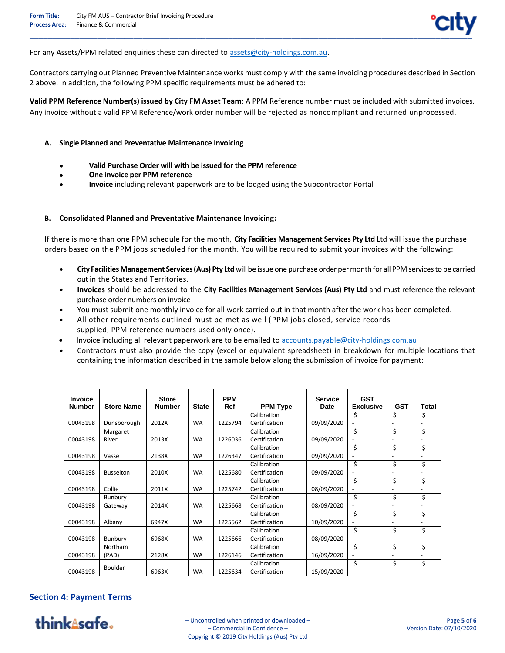For any Assets/PPM related enquiries these can directed to [assets@city-holdings.com.au.](mailto:assets@city-holdings.com.au)

Contractors carrying out Planned Preventive Maintenance works must comply with the same invoicing procedures described in Section 2 above. In addition, the following PPM specific requirements must be adhered to:

**Valid PPM Reference Number(s) issued by City FM Asset Team**: A PPM Reference number must be included with submitted invoices. Any invoice without a valid PPM Reference/work order number will be rejected as noncompliant and returned unprocessed.

#### **A. Single Planned and Preventative Maintenance Invoicing**

- **Valid Purchase Order will with be issued for the PPM reference**
- **One invoice per PPM reference**
- **Invoice** including relevant paperwork are to be lodged using the Subcontractor Portal

#### **B. Consolidated Planned and Preventative Maintenance Invoicing:**

If there is more than one PPM schedule for the month, **City Facilities Management Services Pty Ltd** Ltd will issue the purchase orders based on the PPM jobs scheduled for the month. You will be required to submit your invoices with the following:

- **City Facilities Management Services(Aus) Pty Ltd** will be issue one purchase order per month for all PPM services to be carried out in the States and Territories.
- **Invoices** should be addressed to the **City Facilities Management Services (Aus) Pty Ltd** and must reference the relevant purchase order numbers on invoice
- You must submit one monthly invoice for all work carried out in that month after the work has been completed.
- All other requirements outlined must be met as well (PPM jobs closed, service records supplied, PPM reference numbers used only once).
- Invoice including all relevant paperwork are to be emailed to [accounts.payable@city-holdings.com.au](mailto:accounts.payable@city-holdings.com.au)
- Contractors must also provide the copy (excel or equivalent spreadsheet) in breakdown for multiple locations that containing the information described in the sample below along the submission of invoice for payment:

| <b>Invoice</b> |                   | <b>Store</b> |              | <b>PPM</b> |                 | <b>Service</b> | <b>GST</b>               |            |       |
|----------------|-------------------|--------------|--------------|------------|-----------------|----------------|--------------------------|------------|-------|
| Number         | <b>Store Name</b> | Number       | <b>State</b> | Ref        | <b>PPM Type</b> | Date           | <b>Exclusive</b>         | <b>GST</b> | Total |
|                |                   |              |              |            | Calibration     |                | \$                       | \$         | \$    |
| 00043198       | Dunsborough       | 2012X        | <b>WA</b>    | 1225794    | Certification   | 09/09/2020     | $\overline{\phantom{a}}$ |            |       |
|                | Margaret          |              |              |            | Calibration     |                | \$                       | \$         | \$    |
| 00043198       | River             | 2013X        | <b>WA</b>    | 1226036    | Certification   | 09/09/2020     | ٠                        |            |       |
|                |                   |              |              |            | Calibration     |                | \$                       | \$         | \$    |
| 00043198       | Vasse             | 2138X        | <b>WA</b>    | 1226347    | Certification   | 09/09/2020     |                          |            |       |
|                |                   |              |              |            | Calibration     |                | \$                       | \$         | \$    |
| 00043198       | <b>Busselton</b>  | 2010X        | <b>WA</b>    | 1225680    | Certification   | 09/09/2020     |                          |            |       |
|                |                   |              |              |            | Calibration     |                | \$                       | \$         | \$    |
| 00043198       | Collie            | 2011X        | <b>WA</b>    | 1225742    | Certification   | 08/09/2020     |                          |            |       |
|                | Bunbury           |              |              |            | Calibration     |                | \$                       | \$         | \$    |
| 00043198       | Gateway           | 2014X        | <b>WA</b>    | 1225668    | Certification   | 08/09/2020     |                          |            |       |
|                |                   |              |              |            | Calibration     |                | Ś                        | \$         | \$    |
| 00043198       | Albany            | 6947X        | <b>WA</b>    | 1225562    | Certification   | 10/09/2020     |                          |            |       |
|                |                   |              |              |            | Calibration     |                | \$                       | \$         | \$    |
| 00043198       | Bunbury           | 6968X        | <b>WA</b>    | 1225666    | Certification   | 08/09/2020     | ٠                        |            |       |
|                | Northam           |              |              |            | Calibration     |                | \$                       | \$         | \$    |
| 00043198       | (PAD)             | 2128X        | <b>WA</b>    | 1226146    | Certification   | 16/09/2020     |                          |            |       |
|                | Boulder           |              |              |            | Calibration     |                | \$                       | \$         | \$    |
| 00043198       |                   | 6963X        | <b>WA</b>    | 1225634    | Certification   | 15/09/2020     |                          |            |       |

### **Section 4: Payment Terms**